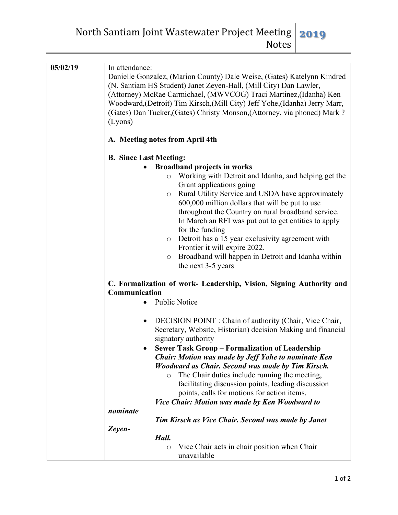North Santiam Joint Wastewater Project Meeting Notes **2019**

| 05/02/19 | In attendance:<br>Danielle Gonzalez, (Marion County) Dale Weise, (Gates) Katelynn Kindred<br>(N. Santiam HS Student) Janet Zeyen-Hall, (Mill City) Dan Lawler,<br>(Attorney) McRae Carmichael, (MWVCOG) Traci Martinez, (Idanha) Ken<br>Woodward, (Detroit) Tim Kirsch, (Mill City) Jeff Yohe, (Idanha) Jerry Marr,<br>(Gates) Dan Tucker, (Gates) Christy Monson, (Attorney, via phoned) Mark?<br>(Lyons)                                                                                                                                                        |
|----------|-------------------------------------------------------------------------------------------------------------------------------------------------------------------------------------------------------------------------------------------------------------------------------------------------------------------------------------------------------------------------------------------------------------------------------------------------------------------------------------------------------------------------------------------------------------------|
|          | A. Meeting notes from April 4th                                                                                                                                                                                                                                                                                                                                                                                                                                                                                                                                   |
|          | <b>B.</b> Since Last Meeting:                                                                                                                                                                                                                                                                                                                                                                                                                                                                                                                                     |
|          | <b>Broadband projects in works</b>                                                                                                                                                                                                                                                                                                                                                                                                                                                                                                                                |
|          | Working with Detroit and Idanha, and helping get the<br>$\circ$<br>Grant applications going<br>Rural Utility Service and USDA have approximately<br>$\circ$<br>600,000 million dollars that will be put to use<br>throughout the Country on rural broadband service.<br>In March an RFI was put out to get entities to apply<br>for the funding<br>Detroit has a 15 year exclusivity agreement with<br>$\circ$<br>Frontier it will expire 2022.<br>Broadband will happen in Detroit and Idanha within<br>$\circ$<br>the next 3-5 years                            |
|          | C. Formalization of work- Leadership, Vision, Signing Authority and<br>Communication<br><b>Public Notice</b>                                                                                                                                                                                                                                                                                                                                                                                                                                                      |
|          |                                                                                                                                                                                                                                                                                                                                                                                                                                                                                                                                                                   |
|          | DECISION POINT : Chain of authority (Chair, Vice Chair,<br>$\bullet$<br>Secretary, Website, Historian) decision Making and financial<br>signatory authority<br><b>Sewer Task Group - Formalization of Leadership</b><br><b>Chair: Motion was made by Jeff Yohe to nominate Ken</b><br><b>Woodward as Chair. Second was made by Tim Kirsch.</b><br>The Chair duties include running the meeting,<br>$\circ$<br>facilitating discussion points, leading discussion<br>points, calls for motions for action items.<br>Vice Chair: Motion was made by Ken Woodward to |
|          | nominate                                                                                                                                                                                                                                                                                                                                                                                                                                                                                                                                                          |
|          |                                                                                                                                                                                                                                                                                                                                                                                                                                                                                                                                                                   |
|          | <b>Tim Kirsch as Vice Chair. Second was made by Janet</b>                                                                                                                                                                                                                                                                                                                                                                                                                                                                                                         |
|          | Zeyen-                                                                                                                                                                                                                                                                                                                                                                                                                                                                                                                                                            |
|          | Hall.<br>Vice Chair acts in chair position when Chair<br>$\circ$                                                                                                                                                                                                                                                                                                                                                                                                                                                                                                  |
|          | unavailable                                                                                                                                                                                                                                                                                                                                                                                                                                                                                                                                                       |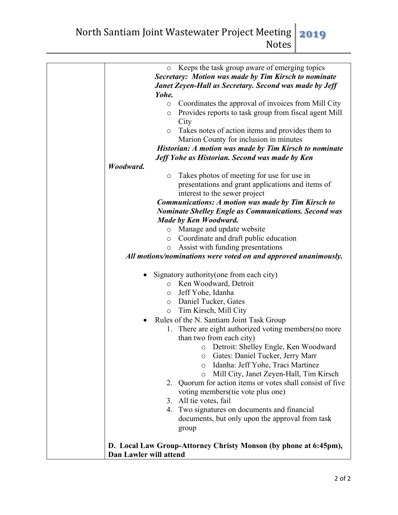North Santiam Joint Wastewater Project Meeting Notes **2019**

| Keeps the task group aware of emerging topics<br>$\circ$         |
|------------------------------------------------------------------|
| Secretary: Motion was made by Tim Kirsch to nominate             |
| Janet Zeyen-Hall as Secretary. Second was made by Jeff           |
| Yohe.                                                            |
| Coordinates the approval of invoices from Mill City<br>$\circ$   |
| Provides reports to task group from fiscal agent Mill<br>$\circ$ |
| City                                                             |
| Takes notes of action items and provides them to<br>$\circ$      |
| Marion County for inclusion in minutes                           |
| Historian: A motion was made by Tim Kirsch to nominate           |
| Jeff Yohe as Historian. Second was made by Ken                   |
| Woodward.                                                        |
| Takes photos of meeting for use for use in<br>$\circ$            |
| presentations and grant applications and items of                |
| interest to the sewer project                                    |
| <b>Communications: A motion was made by Tim Kirsch to</b>        |
| <b>Nominate Shelley Engle as Communications. Second was</b>      |
| Made by Ken Woodward.                                            |
| Manage and update website<br>$\circ$                             |
| Coordinate and draft public education<br>O                       |
| Assist with funding presentations<br>O                           |
| All motions/nominations were voted on and approved unanimously.  |
|                                                                  |
| Signatory authority (one from each city)                         |
| Ken Woodward, Detroit<br>$\circ$                                 |
| Jeff Yohe, Idanha<br>$\circ$<br>Daniel Tucker, Gates             |
| $\circ$<br>Tim Kirsch, Mill City                                 |
| $\circ$<br>Rules of the N. Santiam Joint Task Group              |
| There are eight authorized voting members (no more               |
| 1.<br>than two from each city)                                   |
| Detroit: Shelley Engle, Ken Woodward                             |
| O<br>Gates: Daniel Tucker, Jerry Marr<br>$\circ$                 |
| Idanha: Jeff Yohe, Traci Martinez<br>$\circ$                     |
| Mill City, Janet Zeyen-Hall, Tim Kirsch<br>$\circ$               |
| 2. Quorum for action items or votes shall consist of five        |
| voting members (tie vote plus one)                               |
| 3. All tie votes, fail                                           |
| Two signatures on documents and financial<br>4.                  |
| documents, but only upon the approval from task                  |
| group                                                            |
|                                                                  |
| D. Local Law Group-Attorney Christy Monson (by phone at 6:45pm), |
| Dan Lawler will attend                                           |
|                                                                  |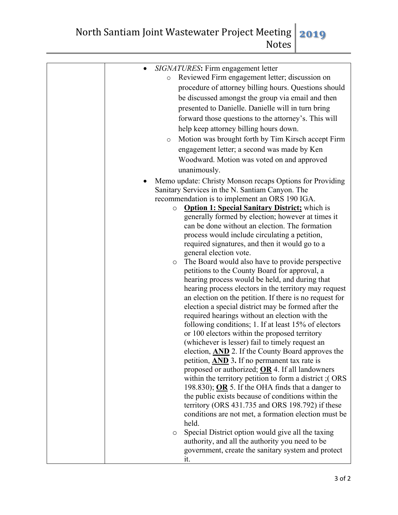North Santiam Joint Wastewater Project Meeting Notes **2019**

| SIGNATURES: Firm engagement letter<br>Reviewed Firm engagement letter; discussion on<br>$\circ$<br>procedure of attorney billing hours. Questions should<br>be discussed amongst the group via email and then<br>presented to Danielle. Danielle will in turn bring<br>forward those questions to the attorney's. This will<br>help keep attorney billing hours down.<br>Motion was brought forth by Tim Kirsch accept Firm<br>$\circ$<br>engagement letter; a second was made by Ken<br>Woodward. Motion was voted on and approved<br>unanimously. |
|-----------------------------------------------------------------------------------------------------------------------------------------------------------------------------------------------------------------------------------------------------------------------------------------------------------------------------------------------------------------------------------------------------------------------------------------------------------------------------------------------------------------------------------------------------|
|                                                                                                                                                                                                                                                                                                                                                                                                                                                                                                                                                     |
| Memo update: Christy Monson recaps Options for Providing                                                                                                                                                                                                                                                                                                                                                                                                                                                                                            |
| Sanitary Services in the N. Santiam Canyon. The                                                                                                                                                                                                                                                                                                                                                                                                                                                                                                     |
| recommendation is to implement an ORS 190 IGA.                                                                                                                                                                                                                                                                                                                                                                                                                                                                                                      |
| <b>Option 1: Special Sanitary District;</b> which is<br>$\circ$<br>generally formed by election; however at times it                                                                                                                                                                                                                                                                                                                                                                                                                                |
| can be done without an election. The formation                                                                                                                                                                                                                                                                                                                                                                                                                                                                                                      |
| process would include circulating a petition,                                                                                                                                                                                                                                                                                                                                                                                                                                                                                                       |
| required signatures, and then it would go to a                                                                                                                                                                                                                                                                                                                                                                                                                                                                                                      |
| general election vote.                                                                                                                                                                                                                                                                                                                                                                                                                                                                                                                              |
| The Board would also have to provide perspective<br>$\circ$                                                                                                                                                                                                                                                                                                                                                                                                                                                                                         |
| petitions to the County Board for approval, a                                                                                                                                                                                                                                                                                                                                                                                                                                                                                                       |
| hearing process would be held, and during that                                                                                                                                                                                                                                                                                                                                                                                                                                                                                                      |
| hearing process electors in the territory may request                                                                                                                                                                                                                                                                                                                                                                                                                                                                                               |
| an election on the petition. If there is no request for                                                                                                                                                                                                                                                                                                                                                                                                                                                                                             |
| election a special district may be formed after the                                                                                                                                                                                                                                                                                                                                                                                                                                                                                                 |
| required hearings without an election with the                                                                                                                                                                                                                                                                                                                                                                                                                                                                                                      |
| following conditions; 1. If at least 15% of electors<br>or 100 electors within the proposed territory                                                                                                                                                                                                                                                                                                                                                                                                                                               |
| (whichever is lesser) fail to timely request an                                                                                                                                                                                                                                                                                                                                                                                                                                                                                                     |
| election, AND 2. If the County Board approves the                                                                                                                                                                                                                                                                                                                                                                                                                                                                                                   |
| petition, AND 3. If no permanent tax rate is                                                                                                                                                                                                                                                                                                                                                                                                                                                                                                        |
| proposed or authorized; $OR$ 4. If all landowners                                                                                                                                                                                                                                                                                                                                                                                                                                                                                                   |
| within the territory petition to form a district; (ORS                                                                                                                                                                                                                                                                                                                                                                                                                                                                                              |
| 198.830); OR 5. If the OHA finds that a danger to                                                                                                                                                                                                                                                                                                                                                                                                                                                                                                   |
| the public exists because of conditions within the                                                                                                                                                                                                                                                                                                                                                                                                                                                                                                  |
| territory (ORS 431.735 and ORS 198.792) if these                                                                                                                                                                                                                                                                                                                                                                                                                                                                                                    |
| conditions are not met, a formation election must be                                                                                                                                                                                                                                                                                                                                                                                                                                                                                                |
| held.                                                                                                                                                                                                                                                                                                                                                                                                                                                                                                                                               |
| Special District option would give all the taxing<br>$\circ$                                                                                                                                                                                                                                                                                                                                                                                                                                                                                        |
| authority, and all the authority you need to be                                                                                                                                                                                                                                                                                                                                                                                                                                                                                                     |
| government, create the sanitary system and protect                                                                                                                                                                                                                                                                                                                                                                                                                                                                                                  |
| it.                                                                                                                                                                                                                                                                                                                                                                                                                                                                                                                                                 |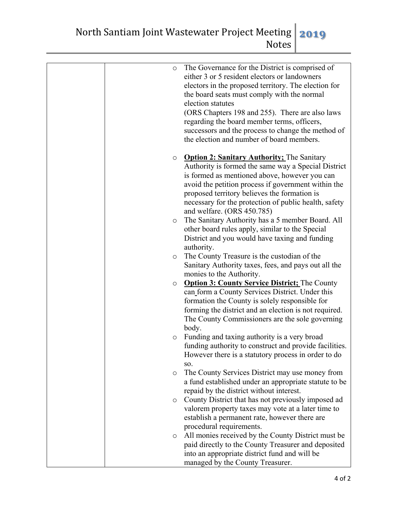| $\circ$ | The Governance for the District is comprised of<br>either 3 or 5 resident electors or landowners<br>electors in the proposed territory. The election for<br>the board seats must comply with the normal<br>election statutes<br>(ORS Chapters 198 and 255). There are also laws<br>regarding the board member terms, officers,<br>successors and the process to change the method of<br>the election and number of board members. |
|---------|-----------------------------------------------------------------------------------------------------------------------------------------------------------------------------------------------------------------------------------------------------------------------------------------------------------------------------------------------------------------------------------------------------------------------------------|
| $\circ$ | <b>Option 2: Sanitary Authority; The Sanitary</b><br>Authority is formed the same way a Special District<br>is formed as mentioned above, however you can<br>avoid the petition process if government within the<br>proposed territory believes the formation is<br>necessary for the protection of public health, safety<br>and welfare. (ORS 450.785)                                                                           |
| $\circ$ | The Sanitary Authority has a 5 member Board. All<br>other board rules apply, similar to the Special<br>District and you would have taxing and funding<br>authority.                                                                                                                                                                                                                                                               |
| $\circ$ | The County Treasure is the custodian of the<br>Sanitary Authority taxes, fees, and pays out all the<br>monies to the Authority.                                                                                                                                                                                                                                                                                                   |
| $\circ$ | <b>Option 3: County Service District; The County</b><br>can form a County Services District. Under this<br>formation the County is solely responsible for<br>forming the district and an election is not required.<br>The County Commissioners are the sole governing<br>body.                                                                                                                                                    |
| $\circ$ | Funding and taxing authority is a very broad<br>funding authority to construct and provide facilities.<br>However there is a statutory process in order to do<br>SO.                                                                                                                                                                                                                                                              |
| $\circ$ | The County Services District may use money from<br>a fund established under an appropriate statute to be<br>repaid by the district without interest.                                                                                                                                                                                                                                                                              |
| $\circ$ | County District that has not previously imposed ad<br>valorem property taxes may vote at a later time to<br>establish a permanent rate, however there are                                                                                                                                                                                                                                                                         |
| $\circ$ | procedural requirements.<br>All monies received by the County District must be<br>paid directly to the County Treasurer and deposited<br>into an appropriate district fund and will be<br>managed by the County Treasurer.                                                                                                                                                                                                        |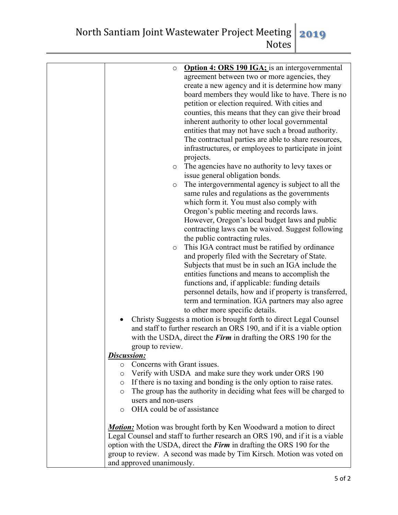| Option 4: ORS 190 IGA; is an intergovernmental<br>$\circ$<br>agreement between two or more agencies, they<br>create a new agency and it is determine how many<br>board members they would like to have. There is no<br>petition or election required. With cities and<br>counties, this means that they can give their broad<br>inherent authority to other local governmental<br>entities that may not have such a broad authority.<br>The contractual parties are able to share resources,<br>infrastructures, or employees to participate in joint<br>projects.<br>The agencies have no authority to levy taxes or<br>$\circ$<br>issue general obligation bonds.<br>The intergovernmental agency is subject to all the<br>O<br>same rules and regulations as the governments<br>which form it. You must also comply with<br>Oregon's public meeting and records laws.<br>However, Oregon's local budget laws and public<br>contracting laws can be waived. Suggest following<br>the public contracting rules.<br>This IGA contract must be ratified by ordinance<br>$\circ$<br>and properly filed with the Secretary of State.<br>Subjects that must be in such an IGA include the<br>entities functions and means to accomplish the<br>functions and, if applicable: funding details<br>personnel details, how and if property is transferred,<br>term and termination. IGA partners may also agree<br>to other more specific details.<br>Christy Suggests a motion is brought forth to direct Legal Counsel<br>$\bullet$<br>and staff to further research an ORS 190, and if it is a viable option<br>with the USDA, direct the <i>Firm</i> in drafting the ORS 190 for the<br>group to review.<br><b>Discussion:</b><br>Concerns with Grant issues.<br>$\circ$<br>Verify with USDA and make sure they work under ORS 190<br>$\circ$<br>• If there is no taxing and bonding is the only option to raise rates.<br>The group has the authority in deciding what fees will be charged to<br>$\circ$<br>users and non-users<br>o OHA could be of assistance |
|---------------------------------------------------------------------------------------------------------------------------------------------------------------------------------------------------------------------------------------------------------------------------------------------------------------------------------------------------------------------------------------------------------------------------------------------------------------------------------------------------------------------------------------------------------------------------------------------------------------------------------------------------------------------------------------------------------------------------------------------------------------------------------------------------------------------------------------------------------------------------------------------------------------------------------------------------------------------------------------------------------------------------------------------------------------------------------------------------------------------------------------------------------------------------------------------------------------------------------------------------------------------------------------------------------------------------------------------------------------------------------------------------------------------------------------------------------------------------------------------------------------------------------------------------------------------------------------------------------------------------------------------------------------------------------------------------------------------------------------------------------------------------------------------------------------------------------------------------------------------------------------------------------------------------------------------------------------------------------------------------------------------------------------------------------------|
| <b>Motion:</b> Motion was brought forth by Ken Woodward a motion to direct                                                                                                                                                                                                                                                                                                                                                                                                                                                                                                                                                                                                                                                                                                                                                                                                                                                                                                                                                                                                                                                                                                                                                                                                                                                                                                                                                                                                                                                                                                                                                                                                                                                                                                                                                                                                                                                                                                                                                                                    |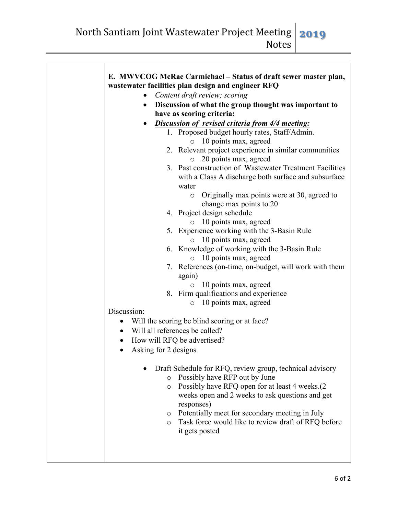| E. MWVCOG McRae Carmichael - Status of draft sewer master plan,                                 |
|-------------------------------------------------------------------------------------------------|
| wastewater facilities plan design and engineer RFQ                                              |
| Content draft review; scoring                                                                   |
| Discussion of what the group thought was important to<br>$\bullet$<br>have as scoring criteria: |
| Discussion of revised criteria from 4/4 meeting:                                                |
| 1. Proposed budget hourly rates, Staff/Admin.                                                   |
| $\circ$ 10 points max, agreed                                                                   |
| 2. Relevant project experience in similar communities                                           |
| 20 points max, agreed<br>$\circ$                                                                |
| 3. Past construction of Wastewater Treatment Facilities                                         |
| with a Class A discharge both surface and subsurface<br>water                                   |
| Originally max points were at 30, agreed to<br>$\circ$                                          |
| change max points to 20                                                                         |
| 4. Project design schedule                                                                      |
| 10 points max, agreed<br>$\circ$                                                                |
| 5. Experience working with the 3-Basin Rule                                                     |
| 10 points max, agreed<br>O                                                                      |
| 6. Knowledge of working with the 3-Basin Rule<br>10 points max, agreed<br>$\circ$               |
| 7. References (on-time, on-budget, will work with them                                          |
| again)                                                                                          |
| 10 points max, agreed<br>$\circ$                                                                |
| 8. Firm qualifications and experience                                                           |
| 10 points max, agreed<br>$\circ$                                                                |
| Discussion:                                                                                     |
| Will the scoring be blind scoring or at face?<br>٠                                              |
| Will all references be called?<br>$\bullet$                                                     |
| How will RFQ be advertised?                                                                     |
| Asking for 2 designs                                                                            |
| Draft Schedule for RFQ, review group, technical advisory<br>o Possibly have RFP out by June     |
| Possibly have RFQ open for at least 4 weeks.(2<br>$\circ$                                       |
| weeks open and 2 weeks to ask questions and get                                                 |
| responses)                                                                                      |
| o Potentially meet for secondary meeting in July                                                |
| Task force would like to review draft of RFQ before<br>$\circ$<br>it gets posted                |
|                                                                                                 |
|                                                                                                 |